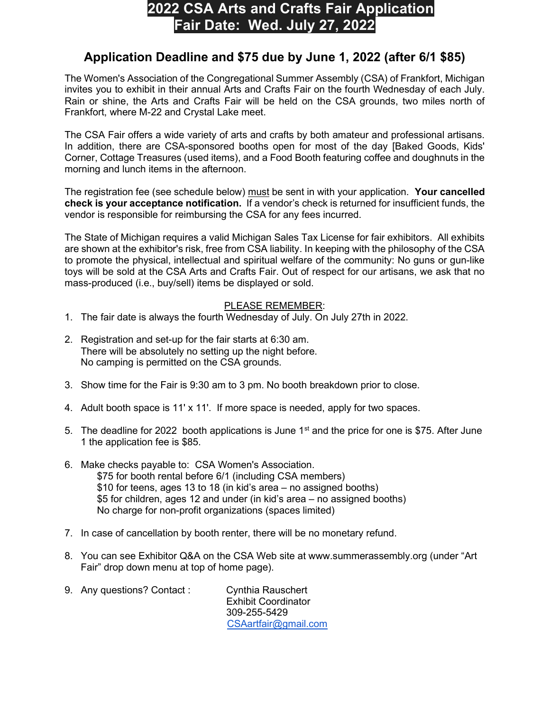## 2022 CSA Arts and Crafts Fair Application Fair Date: Wed. July 27, 2022

## Application Deadline and \$75 due by June 1, 2022 (after 6/1 \$85)

The Women's Association of the Congregational Summer Assembly (CSA) of Frankfort, Michigan invites you to exhibit in their annual Arts and Crafts Fair on the fourth Wednesday of each July. Rain or shine, the Arts and Crafts Fair will be held on the CSA grounds, two miles north of Frankfort, where M-22 and Crystal Lake meet.

The CSA Fair offers a wide variety of arts and crafts by both amateur and professional artisans. In addition, there are CSA-sponsored booths open for most of the day [Baked Goods, Kids' Corner, Cottage Treasures (used items), and a Food Booth featuring coffee and doughnuts in the morning and lunch items in the afternoon.

The registration fee (see schedule below) must be sent in with your application. Your cancelled check is your acceptance notification. If a vendor's check is returned for insufficient funds, the vendor is responsible for reimbursing the CSA for any fees incurred.

The State of Michigan requires a valid Michigan Sales Tax License for fair exhibitors. All exhibits are shown at the exhibitor's risk, free from CSA liability. In keeping with the philosophy of the CSA to promote the physical, intellectual and spiritual welfare of the community: No guns or gun-like toys will be sold at the CSA Arts and Crafts Fair. Out of respect for our artisans, we ask that no mass-produced (i.e., buy/sell) items be displayed or sold.

## PLEASE REMEMBER:

- 1. The fair date is always the fourth Wednesday of July. On July 27th in 2022.
- 2. Registration and set-up for the fair starts at 6:30 am. There will be absolutely no setting up the night before. No camping is permitted on the CSA grounds.
- 3. Show time for the Fair is 9:30 am to 3 pm. No booth breakdown prior to close.
- 4. Adult booth space is 11' x 11'. If more space is needed, apply for two spaces.
- 5. The deadline for 2022 booth applications is June  $1<sup>st</sup>$  and the price for one is \$75. After June 1 the application fee is \$85.
- 6. Make checks payable to: CSA Women's Association. \$75 for booth rental before 6/1 (including CSA members) \$10 for teens, ages 13 to 18 (in kid's area – no assigned booths) \$5 for children, ages 12 and under (in kid's area – no assigned booths) No charge for non-profit organizations (spaces limited)
- 7. In case of cancellation by booth renter, there will be no monetary refund.
- 8. You can see Exhibitor Q&A on the CSA Web site at www.summerassembly.org (under "Art Fair" drop down menu at top of home page).
- 9. Any questions? Contact : Cynthia Rauschert Exhibit Coordinator 309-255-5429 CSAartfair@gmail.com